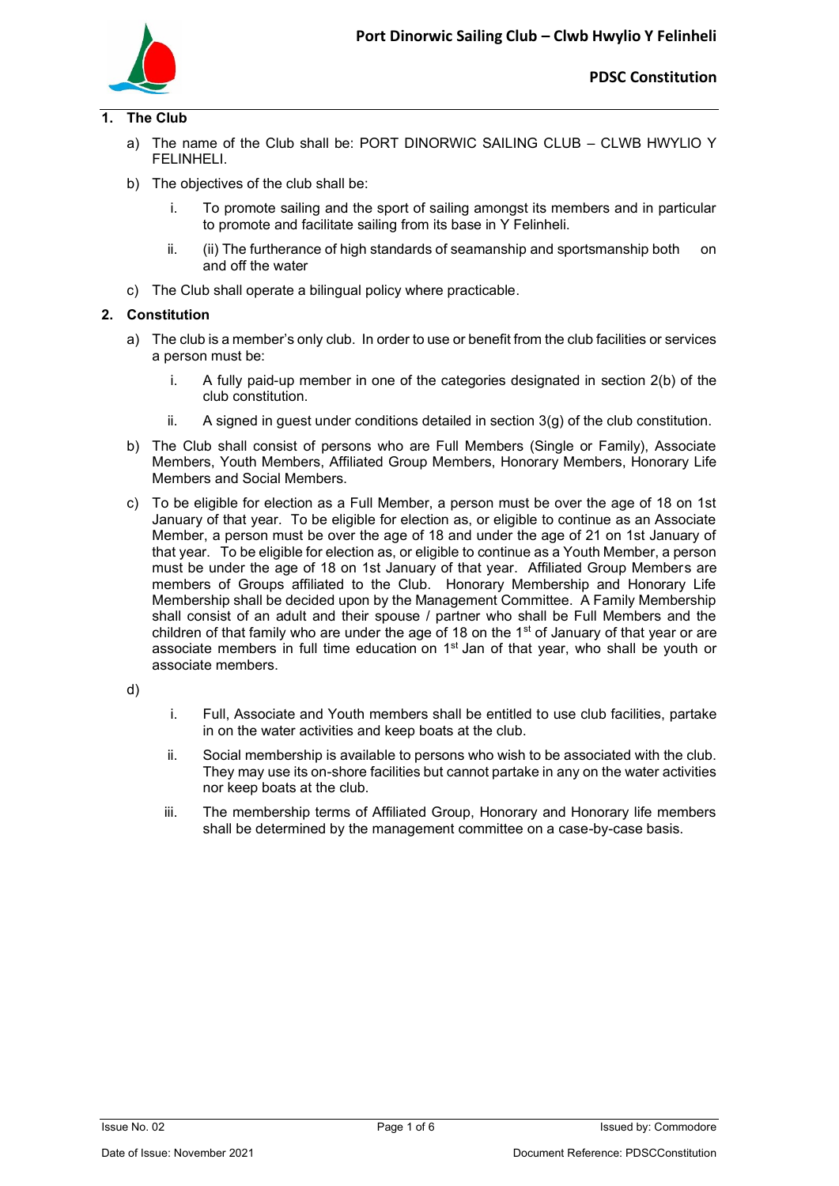

## **1. The Club**

- a) The name of the Club shall be: PORT DINORWIC SAILING CLUB CLWB HWYLlO Y FELINHELI.
- b) The objectives of the club shall be:
	- i. To promote sailing and the sport of sailing amongst its members and in particular to promote and facilitate sailing from its base in Y Felinheli.
	- ii. (ii) The furtherance of high standards of seamanship and sportsmanship both on and off the water
- c) The Club shall operate a bilingual policy where practicable.

## **2. Constitution**

- a) The club is a member's only club. In order to use or benefit from the club facilities or services a person must be:
	- i. A fully paid-up member in one of the categories designated in section 2(b) of the club constitution.
	- ii. A signed in guest under conditions detailed in section 3(g) of the club constitution.
- b) The Club shall consist of persons who are Full Members (Single or Family), Associate Members, Youth Members, Affiliated Group Members, Honorary Members, Honorary Life Members and Social Members.
- c) To be eligible for election as a Full Member, a person must be over the age of 18 on 1st January of that year. To be eligible for election as, or eligible to continue as an Associate Member, a person must be over the age of 18 and under the age of 21 on 1st January of that year. To be eligible for election as, or eligible to continue as a Youth Member, a person must be under the age of 18 on 1st January of that year. Affiliated Group Members are members of Groups affiliated to the Club. Honorary Membership and Honorary Life Membership shall be decided upon by the Management Committee. A Family Membership shall consist of an adult and their spouse / partner who shall be Full Members and the children of that family who are under the age of 18 on the  $1<sup>st</sup>$  of January of that year or are associate members in full time education on 1<sup>st</sup> Jan of that year, who shall be youth or associate members.
- d)
- i. Full, Associate and Youth members shall be entitled to use club facilities, partake in on the water activities and keep boats at the club.
- ii. Social membership is available to persons who wish to be associated with the club. They may use its on-shore facilities but cannot partake in any on the water activities nor keep boats at the club.
- iii. The membership terms of Affiliated Group, Honorary and Honorary life members shall be determined by the management committee on a case-by-case basis.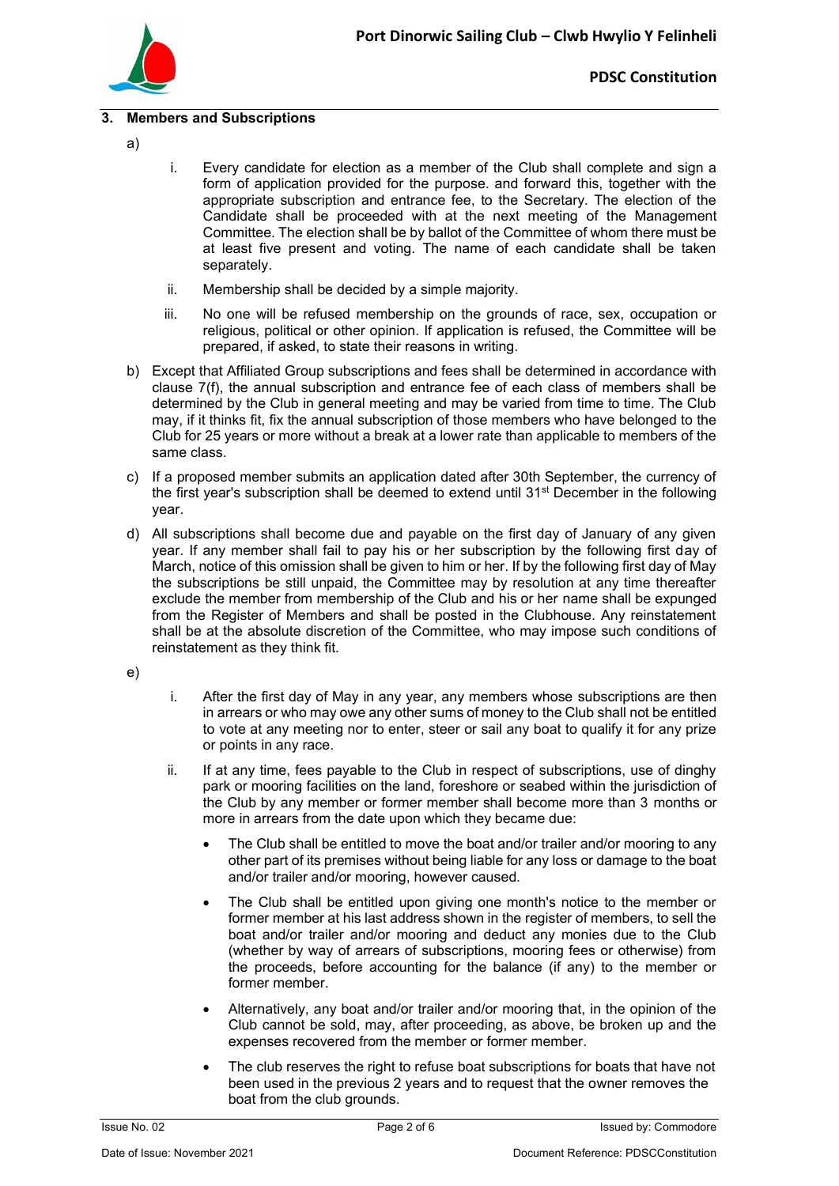

## **3. Members and Subscriptions**

- a)
- i. Every candidate for election as a member of the Club shall complete and sign a form of application provided for the purpose. and forward this, together with the appropriate subscription and entrance fee, to the Secretary. The election of the Candidate shall be proceeded with at the next meeting of the Management Committee. The election shall be by ballot of the Committee of whom there must be at least five present and voting. The name of each candidate shall be taken separately.
- ii. Membership shall be decided by a simple majority.
- iii. No one will be refused membership on the grounds of race, sex, occupation or religious, political or other opinion. If application is refused, the Committee will be prepared, if asked, to state their reasons in writing.
- b) Except that Affiliated Group subscriptions and fees shall be determined in accordance with clause 7(f), the annual subscription and entrance fee of each class of members shall be determined by the Club in general meeting and may be varied from time to time. The Club may, if it thinks fit, fix the annual subscription of those members who have belonged to the Club for 25 years or more without a break at a lower rate than applicable to members of the same class.
- c) If a proposed member submits an application dated after 30th September, the currency of the first year's subscription shall be deemed to extend until  $31<sup>st</sup>$  December in the following year.
- d) All subscriptions shall become due and payable on the first day of January of any given year. If any member shall fail to pay his or her subscription by the following first day of March, notice of this omission shall be given to him or her. If by the following first day of May the subscriptions be still unpaid, the Committee may by resolution at any time thereafter exclude the member from membership of the Club and his or her name shall be expunged from the Register of Members and shall be posted in the Clubhouse. Any reinstatement shall be at the absolute discretion of the Committee, who may impose such conditions of reinstatement as they think fit.
- e)
- i. After the first day of May in any year, any members whose subscriptions are then in arrears or who may owe any other sums of money to the Club shall not be entitled to vote at any meeting nor to enter, steer or sail any boat to qualify it for any prize or points in any race.
- ii. If at any time, fees payable to the Club in respect of subscriptions, use of dinghy park or mooring facilities on the land, foreshore or seabed within the jurisdiction of the Club by any member or former member shall become more than 3 months or more in arrears from the date upon which they became due:
	- The Club shall be entitled to move the boat and/or trailer and/or mooring to any other part of its premises without being liable for any loss or damage to the boat and/or trailer and/or mooring, however caused.
	- The Club shall be entitled upon giving one month's notice to the member or former member at his last address shown in the register of members, to sell the boat and/or trailer and/or mooring and deduct any monies due to the Club (whether by way of arrears of subscriptions, mooring fees or otherwise) from the proceeds, before accounting for the balance (if any) to the member or former member.
	- Alternatively, any boat and/or trailer and/or mooring that, in the opinion of the Club cannot be sold, may, after proceeding, as above, be broken up and the expenses recovered from the member or former member.
	- The club reserves the right to refuse boat subscriptions for boats that have not been used in the previous 2 years and to request that the owner removes the boat from the club grounds.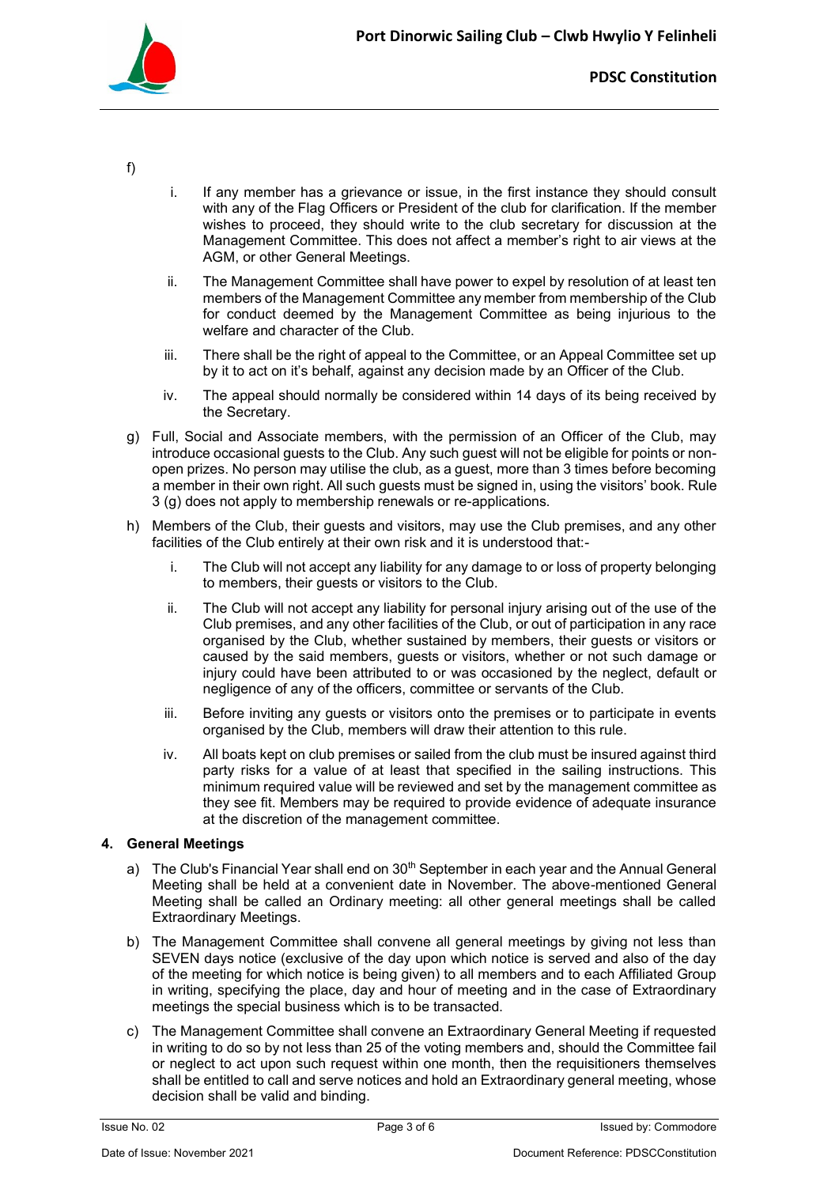

- f)
- i. If any member has a grievance or issue, in the first instance they should consult with any of the Flag Officers or President of the club for clarification. If the member wishes to proceed, they should write to the club secretary for discussion at the Management Committee. This does not affect a member's right to air views at the AGM, or other General Meetings.
- ii. The Management Committee shall have power to expel by resolution of at least ten members of the Management Committee any member from membership of the Club for conduct deemed by the Management Committee as being injurious to the welfare and character of the Club.
- iii. There shall be the right of appeal to the Committee, or an Appeal Committee set up by it to act on it's behalf, against any decision made by an Officer of the Club.
- iv. The appeal should normally be considered within 14 days of its being received by the Secretary.
- g) Full, Social and Associate members, with the permission of an Officer of the Club, may introduce occasional guests to the Club. Any such guest will not be eligible for points or nonopen prizes. No person may utilise the club, as a guest, more than 3 times before becoming a member in their own right. All such guests must be signed in, using the visitors' book. Rule 3 (g) does not apply to membership renewals or re-applications.
- h) Members of the Club, their guests and visitors, may use the Club premises, and any other facilities of the Club entirely at their own risk and it is understood that:
	- i. The Club will not accept any liability for any damage to or loss of property belonging to members, their guests or visitors to the Club.
	- ii. The Club will not accept any liability for personal injury arising out of the use of the Club premises, and any other facilities of the Club, or out of participation in any race organised by the Club, whether sustained by members, their guests or visitors or caused by the said members, guests or visitors, whether or not such damage or injury could have been attributed to or was occasioned by the neglect, default or negligence of any of the officers, committee or servants of the Club.
	- iii. Before inviting any guests or visitors onto the premises or to participate in events organised by the Club, members will draw their attention to this rule.
	- iv. All boats kept on club premises or sailed from the club must be insured against third party risks for a value of at least that specified in the sailing instructions. This minimum required value will be reviewed and set by the management committee as they see fit. Members may be required to provide evidence of adequate insurance at the discretion of the management committee.

## **4. General Meetings**

- a) The Club's Financial Year shall end on  $30<sup>th</sup>$  September in each year and the Annual General Meeting shall be held at a convenient date in November. The above-mentioned General Meeting shall be called an Ordinary meeting: all other general meetings shall be called Extraordinary Meetings.
- b) The Management Committee shall convene all general meetings by giving not less than SEVEN days notice (exclusive of the day upon which notice is served and also of the day of the meeting for which notice is being given) to all members and to each Affiliated Group in writing, specifying the place, day and hour of meeting and in the case of Extraordinary meetings the special business which is to be transacted.
- c) The Management Committee shall convene an Extraordinary General Meeting if requested in writing to do so by not less than 25 of the voting members and, should the Committee fail or neglect to act upon such request within one month, then the requisitioners themselves shall be entitled to call and serve notices and hold an Extraordinary general meeting, whose decision shall be valid and binding.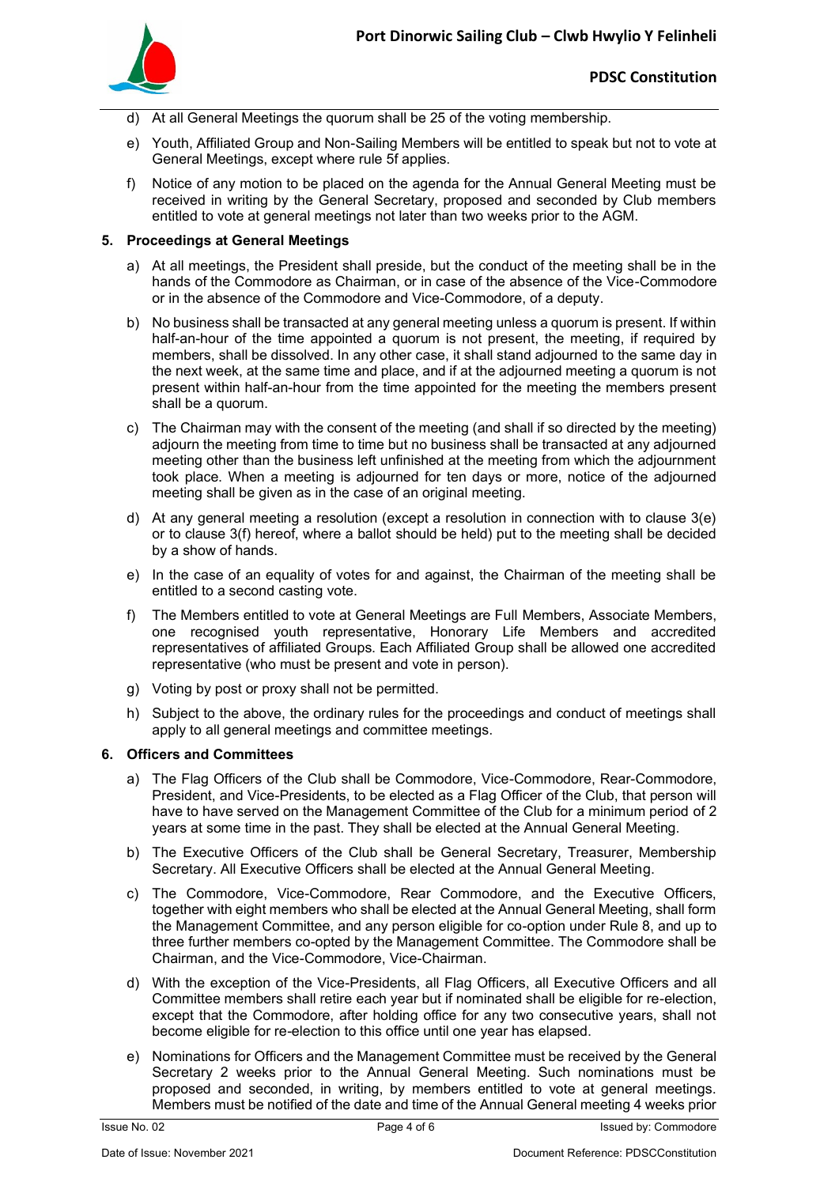

- d) At all General Meetings the quorum shall be 25 of the voting membership.
- e) Youth, Affiliated Group and Non-Sailing Members will be entitled to speak but not to vote at General Meetings, except where rule 5f applies.
- f) Notice of any motion to be placed on the agenda for the Annual General Meeting must be received in writing by the General Secretary, proposed and seconded by Club members entitled to vote at general meetings not later than two weeks prior to the AGM.

#### **5. Proceedings at General Meetings**

- a) At all meetings, the President shall preside, but the conduct of the meeting shall be in the hands of the Commodore as Chairman, or in case of the absence of the Vice-Commodore or in the absence of the Commodore and Vice-Commodore, of a deputy.
- b) No business shall be transacted at any general meeting unless a quorum is present. If within half-an-hour of the time appointed a quorum is not present, the meeting, if required by members, shall be dissolved. In any other case, it shall stand adjourned to the same day in the next week, at the same time and place, and if at the adjourned meeting a quorum is not present within half-an-hour from the time appointed for the meeting the members present shall be a quorum.
- c) The Chairman may with the consent of the meeting (and shall if so directed by the meeting) adjourn the meeting from time to time but no business shall be transacted at any adjourned meeting other than the business left unfinished at the meeting from which the adjournment took place. When a meeting is adjourned for ten days or more, notice of the adjourned meeting shall be given as in the case of an original meeting.
- d) At any general meeting a resolution (except a resolution in connection with to clause 3(e) or to clause 3(f) hereof, where a ballot should be held) put to the meeting shall be decided by a show of hands.
- e) In the case of an equality of votes for and against, the Chairman of the meeting shall be entitled to a second casting vote.
- f) The Members entitled to vote at General Meetings are Full Members, Associate Members, one recognised youth representative, Honorary Life Members and accredited representatives of affiliated Groups. Each Affiliated Group shall be allowed one accredited representative (who must be present and vote in person).
- g) Voting by post or proxy shall not be permitted.
- h) Subject to the above, the ordinary rules for the proceedings and conduct of meetings shall apply to all general meetings and committee meetings.

#### **6. Officers and Committees**

- a) The Flag Officers of the Club shall be Commodore, Vice-Commodore, Rear-Commodore, President, and Vice-Presidents, to be elected as a Flag Officer of the Club, that person will have to have served on the Management Committee of the Club for a minimum period of 2 years at some time in the past. They shall be elected at the Annual General Meeting.
- b) The Executive Officers of the Club shall be General Secretary, Treasurer, Membership Secretary. All Executive Officers shall be elected at the Annual General Meeting.
- c) The Commodore, Vice-Commodore, Rear Commodore, and the Executive Officers, together with eight members who shall be elected at the Annual General Meeting, shall form the Management Committee, and any person eligible for co-option under Rule 8, and up to three further members co-opted by the Management Committee. The Commodore shall be Chairman, and the Vice-Commodore, Vice-Chairman.
- d) With the exception of the Vice-Presidents, all Flag Officers, all Executive Officers and all Committee members shall retire each year but if nominated shall be eligible for re-election, except that the Commodore, after holding office for any two consecutive years, shall not become eligible for re-election to this office until one year has elapsed.
- e) Nominations for Officers and the Management Committee must be received by the General Secretary 2 weeks prior to the Annual General Meeting. Such nominations must be proposed and seconded, in writing, by members entitled to vote at general meetings. Members must be notified of the date and time of the Annual General meeting 4 weeks prior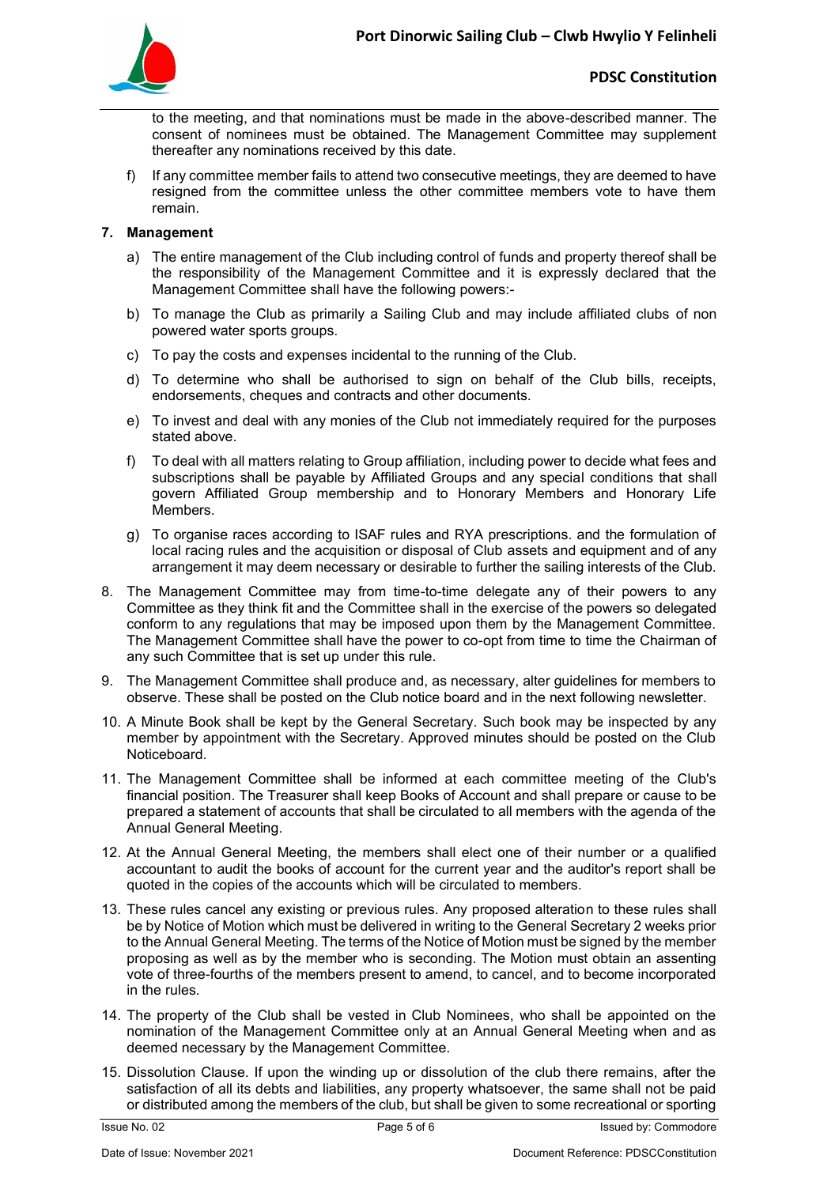

to the meeting, and that nominations must be made in the above-described manner. The consent of nominees must be obtained. The Management Committee may supplement thereafter any nominations received by this date.

f) If any committee member fails to attend two consecutive meetings, they are deemed to have resigned from the committee unless the other committee members vote to have them remain.

### **7. Management**

- a) The entire management of the Club including control of funds and property thereof shall be the responsibility of the Management Committee and it is expressly declared that the Management Committee shall have the following powers:-
- b) To manage the Club as primarily a Sailing Club and may include affiliated clubs of non powered water sports groups.
- c) To pay the costs and expenses incidental to the running of the Club.
- d) To determine who shall be authorised to sign on behalf of the Club bills, receipts, endorsements, cheques and contracts and other documents.
- e) To invest and deal with any monies of the Club not immediately required for the purposes stated above.
- f) To deal with all matters relating to Group affiliation, including power to decide what fees and subscriptions shall be payable by Affiliated Groups and any special conditions that shall govern Affiliated Group membership and to Honorary Members and Honorary Life Members.
- g) To organise races according to ISAF rules and RYA prescriptions. and the formulation of local racing rules and the acquisition or disposal of Club assets and equipment and of any arrangement it may deem necessary or desirable to further the sailing interests of the Club.
- 8. The Management Committee may from time-to-time delegate any of their powers to any Committee as they think fit and the Committee shall in the exercise of the powers so delegated conform to any regulations that may be imposed upon them by the Management Committee. The Management Committee shall have the power to co-opt from time to time the Chairman of any such Committee that is set up under this rule.
- 9. The Management Committee shall produce and, as necessary, alter guidelines for members to observe. These shall be posted on the Club notice board and in the next following newsletter.
- 10. A Minute Book shall be kept by the General Secretary. Such book may be inspected by any member by appointment with the Secretary. Approved minutes should be posted on the Club Noticeboard.
- 11. The Management Committee shall be informed at each committee meeting of the Club's financial position. The Treasurer shall keep Books of Account and shall prepare or cause to be prepared a statement of accounts that shall be circulated to all members with the agenda of the Annual General Meeting.
- 12. At the Annual General Meeting, the members shall elect one of their number or a qualified accountant to audit the books of account for the current year and the auditor's report shall be quoted in the copies of the accounts which will be circulated to members.
- 13. These rules cancel any existing or previous rules. Any proposed alteration to these rules shall be by Notice of Motion which must be delivered in writing to the General Secretary 2 weeks prior to the Annual General Meeting. The terms of the Notice of Motion must be signed by the member proposing as well as by the member who is seconding. The Motion must obtain an assenting vote of three-fourths of the members present to amend, to cancel, and to become incorporated in the rules.
- 14. The property of the Club shall be vested in Club Nominees, who shall be appointed on the nomination of the Management Committee only at an Annual General Meeting when and as deemed necessary by the Management Committee.
- 15. Dissolution Clause. If upon the winding up or dissolution of the club there remains, after the satisfaction of all its debts and liabilities, any property whatsoever, the same shall not be paid or distributed among the members of the club, but shall be given to some recreational or sporting